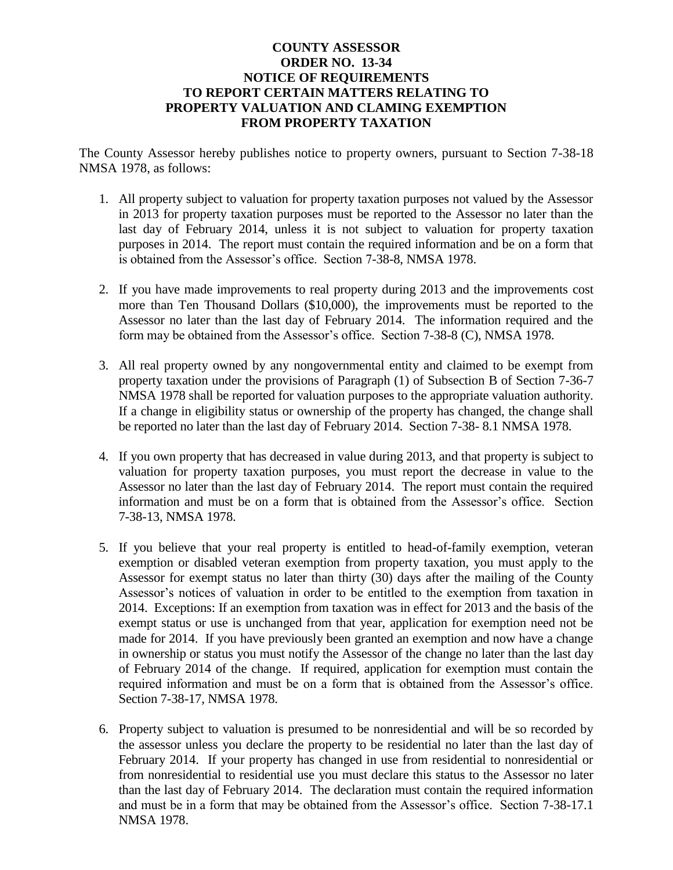## **COUNTY ASSESSOR ORDER NO. 13-34 NOTICE OF REQUIREMENTS TO REPORT CERTAIN MATTERS RELATING TO PROPERTY VALUATION AND CLAMING EXEMPTION FROM PROPERTY TAXATION**

The County Assessor hereby publishes notice to property owners, pursuant to Section 7-38-18 NMSA 1978, as follows:

- 1. All property subject to valuation for property taxation purposes not valued by the Assessor in 2013 for property taxation purposes must be reported to the Assessor no later than the last day of February 2014, unless it is not subject to valuation for property taxation purposes in 2014. The report must contain the required information and be on a form that is obtained from the Assessor's office. Section 7-38-8, NMSA 1978.
- 2. If you have made improvements to real property during 2013 and the improvements cost more than Ten Thousand Dollars (\$10,000), the improvements must be reported to the Assessor no later than the last day of February 2014. The information required and the form may be obtained from the Assessor's office. Section 7-38-8 (C), NMSA 1978.
- 3. All real property owned by any nongovernmental entity and claimed to be exempt from property taxation under the provisions of Paragraph (1) of Subsection B of Section 7-36-7 NMSA 1978 shall be reported for valuation purposes to the appropriate valuation authority. If a change in eligibility status or ownership of the property has changed, the change shall be reported no later than the last day of February 2014. Section 7-38- 8.1 NMSA 1978.
- 4. If you own property that has decreased in value during 2013, and that property is subject to valuation for property taxation purposes, you must report the decrease in value to the Assessor no later than the last day of February 2014. The report must contain the required information and must be on a form that is obtained from the Assessor's office. Section 7-38-13, NMSA 1978.
- 5. If you believe that your real property is entitled to head-of-family exemption, veteran exemption or disabled veteran exemption from property taxation, you must apply to the Assessor for exempt status no later than thirty (30) days after the mailing of the County Assessor's notices of valuation in order to be entitled to the exemption from taxation in 2014. Exceptions: If an exemption from taxation was in effect for 2013 and the basis of the exempt status or use is unchanged from that year, application for exemption need not be made for 2014. If you have previously been granted an exemption and now have a change in ownership or status you must notify the Assessor of the change no later than the last day of February 2014 of the change. If required, application for exemption must contain the required information and must be on a form that is obtained from the Assessor's office. Section 7-38-17, NMSA 1978.
- 6. Property subject to valuation is presumed to be nonresidential and will be so recorded by the assessor unless you declare the property to be residential no later than the last day of February 2014. If your property has changed in use from residential to nonresidential or from nonresidential to residential use you must declare this status to the Assessor no later than the last day of February 2014. The declaration must contain the required information and must be in a form that may be obtained from the Assessor's office. Section 7-38-17.1 NMSA 1978.